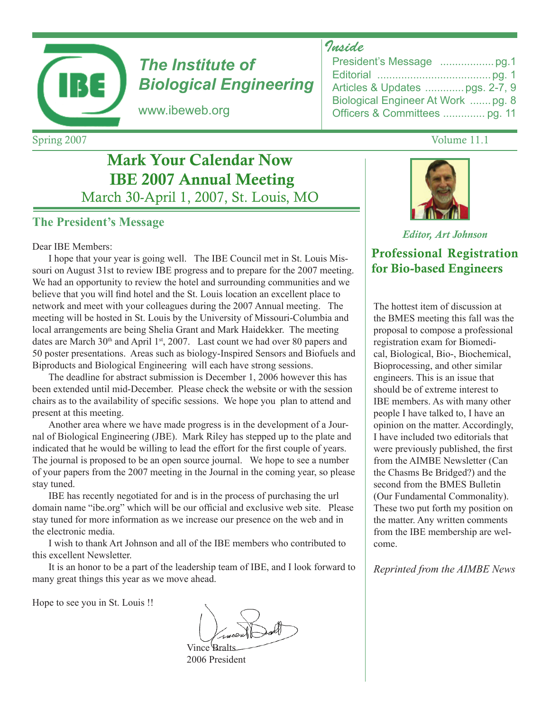

# *The Institute of Biological Engineering*

www.ibeweb.org

# Mark Your Calendar Now IBE 2007 Annual Meeting March 30-April 1, 2007, St. Louis, MO

### **The President's Message**

#### Dear IBE Members:

I hope that your year is going well. The IBE Council met in St. Louis Missouri on August 31st to review IBE progress and to prepare for the 2007 meeting. We had an opportunity to review the hotel and surrounding communities and we believe that you will find hotel and the St. Louis location an excellent place to network and meet with your colleagues during the 2007 Annual meeting. The meeting will be hosted in St. Louis by the University of Missouri-Columbia and local arrangements are being Shelia Grant and Mark Haidekker. The meeting dates are March  $30<sup>th</sup>$  and April 1<sup>st</sup>, 2007. Last count we had over 80 papers and 50 poster presentations. Areas such as biology-Inspired Sensors and Biofuels and Biproducts and Biological Engineering will each have strong sessions.

The deadline for abstract submission is December 1, 2006 however this has been extended until mid-December. Please check the website or with the session chairs as to the availability of specific sessions. We hope you plan to attend and present at this meeting.

Another area where we have made progress is in the development of a Journal of Biological Engineering (JBE). Mark Riley has stepped up to the plate and indicated that he would be willing to lead the effort for the first couple of years. The journal is proposed to be an open source journal. We hope to see a number of your papers from the 2007 meeting in the Journal in the coming year, so please stay tuned.

IBE has recently negotiated for and is in the process of purchasing the url domain name "ibe.org" which will be our official and exclusive web site. Please stay tuned for more information as we increase our presence on the web and in the electronic media.

I wish to thank Art Johnson and all of the IBE members who contributed to this excellent Newsletter.

It is an honor to be a part of the leadership team of IBE, and I look forward to many great things this year as we move ahead.

Hope to see you in St. Louis !!

Vince **Bral** 2006 President

### *Inside*

| Articles & Updates  pgs. 2-7, 9    |
|------------------------------------|
| Biological Engineer At Work  pg. 8 |
| Officers & Committees  pg. 11      |

#### *Editor, Art Johnson*

### Professional Registration for Bio-based Engineers

The hottest item of discussion at the BMES meeting this fall was the proposal to compose a professional registration exam for Biomedical, Biological, Bio-, Biochemical, Bioprocessing, and other similar engineers. This is an issue that should be of extreme interest to IBE members. As with many other people I have talked to, I have an opinion on the matter. Accordingly, I have included two editorials that were previously published, the first from the AIMBE Newsletter (Can the Chasms Be Bridged?) and the second from the BMES Bulletin (Our Fundamental Commonality). These two put forth my position on the matter. Any written comments from the IBE membership are welcome.

*Reprinted from the AIMBE News*

Spring 2007 Volume 11.1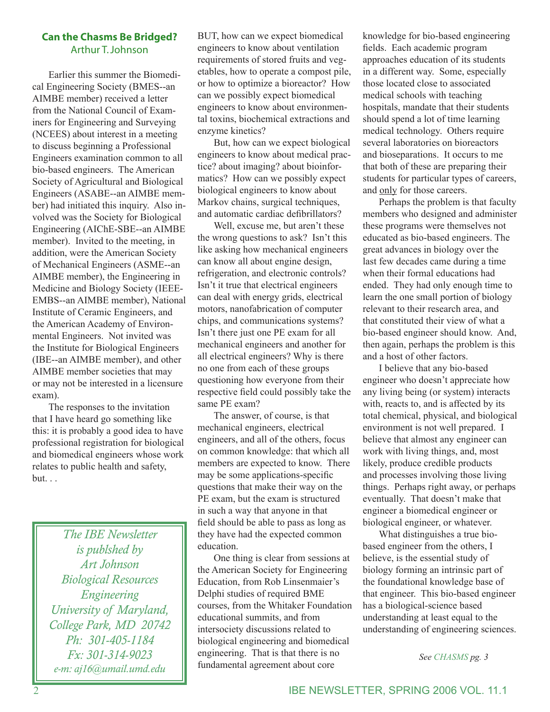#### **Can the Chasms Be Bridged?** Arthur T. Johnson

Earlier this summer the Biomedical Engineering Society (BMES--an AIMBE member) received a letter from the National Council of Examiners for Engineering and Surveying (NCEES) about interest in a meeting to discuss beginning a Professional Engineers examination common to all bio-based engineers. The American Society of Agricultural and Biological Engineers (ASABE--an AIMBE member) had initiated this inquiry. Also involved was the Society for Biological Engineering (AIChE-SBE--an AIMBE member). Invited to the meeting, in addition, were the American Society of Mechanical Engineers (ASME--an AIMBE member), the Engineering in Medicine and Biology Society (IEEE-EMBS--an AIMBE member), National Institute of Ceramic Engineers, and the American Academy of Environmental Engineers. Not invited was the Institute for Biological Engineers (IBE--an AIMBE member), and other AIMBE member societies that may or may not be interested in a licensure exam).

The responses to the invitation that I have heard go something like this: it is probably a good idea to have professional registration for biological and biomedical engineers whose work relates to public health and safety, but. . .

> *The IBE Newsletter is publshed by Art Johnson Biological Resources Engineering University of Maryland, College Park, MD 20742 Ph: 301-405-1184 Fx: 301-314-9023 e-m: aj16@umail.umd.edu*

BUT, how can we expect biomedical engineers to know about ventilation requirements of stored fruits and vegetables, how to operate a compost pile, or how to optimize a bioreactor? How can we possibly expect biomedical engineers to know about environmental toxins, biochemical extractions and enzyme kinetics?

But, how can we expect biological engineers to know about medical practice? about imaging? about bioinformatics? How can we possibly expect biological engineers to know about Markov chains, surgical techniques, and automatic cardiac defibrillators?

Well, excuse me, but aren't these the wrong questions to ask? Isn't this like asking how mechanical engineers can know all about engine design, refrigeration, and electronic controls? Isn't it true that electrical engineers can deal with energy grids, electrical motors, nanofabrication of computer chips, and communications systems? Isn't there just one PE exam for all mechanical engineers and another for all electrical engineers? Why is there no one from each of these groups questioning how everyone from their respective field could possibly take the same PE exam?

The answer, of course, is that mechanical engineers, electrical engineers, and all of the others, focus on common knowledge: that which all members are expected to know. There may be some applications-specific questions that make their way on the PE exam, but the exam is structured in such a way that anyone in that field should be able to pass as long as they have had the expected common education.

One thing is clear from sessions at the American Society for Engineering Education, from Rob Linsenmaier's Delphi studies of required BME courses, from the Whitaker Foundation educational summits, and from intersociety discussions related to biological engineering and biomedical engineering. That is that there is no fundamental agreement about core

knowledge for bio-based engineering fields. Each academic program approaches education of its students in a different way. Some, especially those located close to associated medical schools with teaching hospitals, mandate that their students should spend a lot of time learning medical technology. Others require several laboratories on bioreactors and bioseparations. It occurs to me that both of these are preparing their students for particular types of careers, and only for those careers.

Perhaps the problem is that faculty members who designed and administer these programs were themselves not educated as bio-based engineers. The great advances in biology over the last few decades came during a time when their formal educations had ended. They had only enough time to learn the one small portion of biology relevant to their research area, and that constituted their view of what a bio-based engineer should know. And, then again, perhaps the problem is this and a host of other factors.

I believe that any bio-based engineer who doesn't appreciate how any living being (or system) interacts with, reacts to, and is affected by its total chemical, physical, and biological environment is not well prepared. I believe that almost any engineer can work with living things, and, most likely, produce credible products and processes involving those living things. Perhaps right away, or perhaps eventually. That doesn't make that engineer a biomedical engineer or biological engineer, or whatever.

What distinguishes a true biobased engineer from the others, I believe, is the essential study of biology forming an intrinsic part of the foundational knowledge base of that engineer. This bio-based engineer has a biological-science based understanding at least equal to the understanding of engineering sciences.

*See CHASMS pg. 3*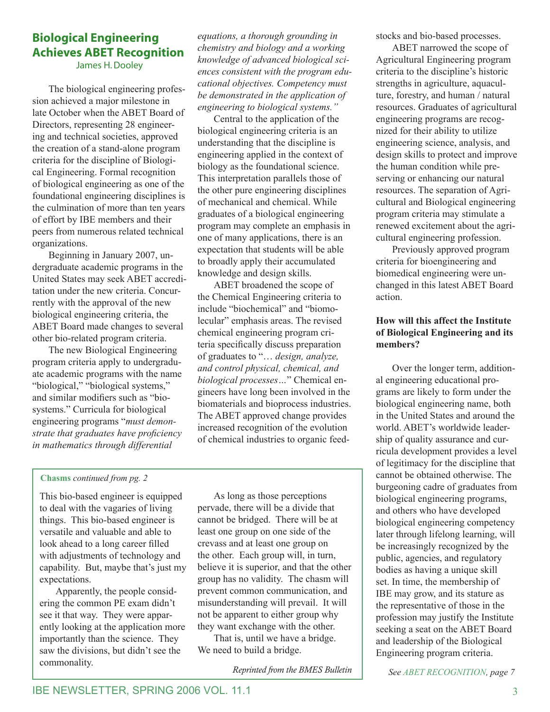# **Biological Engineering Achieves ABET Recognition**

James H. Dooley

The biological engineering profession achieved a major milestone in late October when the ABET Board of Directors, representing 28 engineering and technical societies, approved the creation of a stand-alone program criteria for the discipline of Biological Engineering. Formal recognition of biological engineering as one of the foundational engineering disciplines is the culmination of more than ten years of effort by IBE members and their peers from numerous related technical organizations.

Beginning in January 2007, undergraduate academic programs in the United States may seek ABET accreditation under the new criteria. Concurrently with the approval of the new biological engineering criteria, the ABET Board made changes to several other bio-related program criteria.

The new Biological Engineering program criteria apply to undergraduate academic programs with the name "biological," "biological systems," and similar modifiers such as "biosystems." Curricula for biological engineering programs "*must demonstrate that graduates have proficiency in mathematics through differential* 

*equations, a thorough grounding in chemistry and biology and a working knowledge of advanced biological sciences consistent with the program educational objectives. Competency must be demonstrated in the application of engineering to biological systems."*

Central to the application of the biological engineering criteria is an understanding that the discipline is engineering applied in the context of biology as the foundational science. This interpretation parallels those of the other pure engineering disciplines of mechanical and chemical. While graduates of a biological engineering program may complete an emphasis in one of many applications, there is an expectation that students will be able to broadly apply their accumulated knowledge and design skills.

ABET broadened the scope of the Chemical Engineering criteria to include "biochemical" and "biomolecular" emphasis areas. The revised chemical engineering program criteria specifically discuss preparation of graduates to "… *design, analyze, and control physical, chemical, and biological processes…*" Chemical engineers have long been involved in the biomaterials and bioprocess industries. The ABET approved change provides increased recognition of the evolution of chemical industries to organic feed-

#### **Chasms** *continued from pg. 2*

This bio-based engineer is equipped to deal with the vagaries of living things. This bio-based engineer is versatile and valuable and able to look ahead to a long career filled with adjustments of technology and capability. But, maybe that's just my expectations.

Apparently, the people considering the common PE exam didn't see it that way. They were apparently looking at the application more importantly than the science. They saw the divisions, but didn't see the commonality.

As long as those perceptions pervade, there will be a divide that cannot be bridged. There will be at least one group on one side of the crevass and at least one group on the other. Each group will, in turn, believe it is superior, and that the other group has no validity. The chasm will prevent common communication, and misunderstanding will prevail. It will not be apparent to either group why they want exchange with the other.

That is, until we have a bridge. We need to build a bridge.

*Reprinted from the BMES Bulletin*

stocks and bio-based processes.

ABET narrowed the scope of Agricultural Engineering program criteria to the discipline's historic strengths in agriculture, aquaculture, forestry, and human / natural resources. Graduates of agricultural engineering programs are recognized for their ability to utilize engineering science, analysis, and design skills to protect and improve the human condition while preserving or enhancing our natural resources. The separation of Agricultural and Biological engineering program criteria may stimulate a renewed excitement about the agricultural engineering profession.

Previously approved program criteria for bioengineering and biomedical engineering were unchanged in this latest ABET Board action.

#### **How will this affect the Institute of Biological Engineering and its members?**

Over the longer term, additional engineering educational programs are likely to form under the biological engineering name, both in the United States and around the world. ABET's worldwide leadership of quality assurance and curricula development provides a level of legitimacy for the discipline that cannot be obtained otherwise. The burgeoning cadre of graduates from biological engineering programs, and others who have developed biological engineering competency later through lifelong learning, will be increasingly recognized by the public, agencies, and regulatory bodies as having a unique skill set. In time, the membership of IBE may grow, and its stature as the representative of those in the profession may justify the Institute seeking a seat on the ABET Board and leadership of the Biological Engineering program criteria.

*See ABET RECOGNITION, page 7*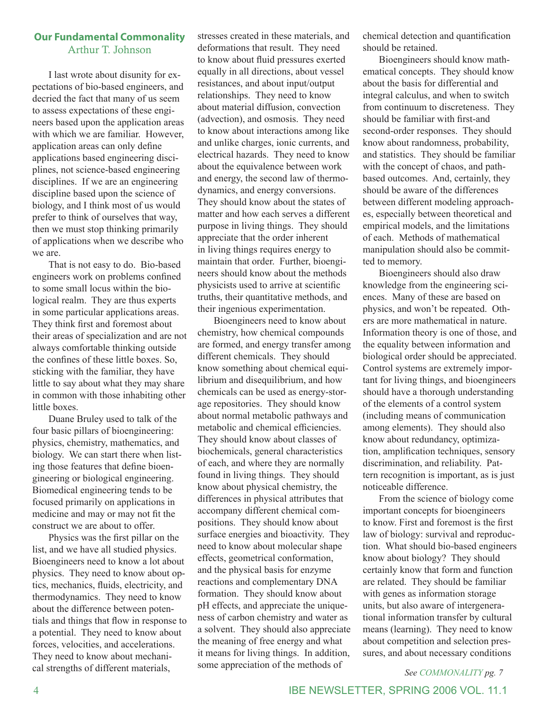### **Our Fundamental Commonality** Arthur T. Johnson

I last wrote about disunity for expectations of bio-based engineers, and decried the fact that many of us seem to assess expectations of these engineers based upon the application areas with which we are familiar. However, application areas can only define applications based engineering disciplines, not science-based engineering disciplines. If we are an engineering discipline based upon the science of biology, and I think most of us would prefer to think of ourselves that way, then we must stop thinking primarily of applications when we describe who we are.

That is not easy to do. Bio-based engineers work on problems confined to some small locus within the biological realm. They are thus experts in some particular applications areas. They think first and foremost about their areas of specialization and are not always comfortable thinking outside the confines of these little boxes. So, sticking with the familiar, they have little to say about what they may share in common with those inhabiting other little boxes.

Duane Bruley used to talk of the four basic pillars of bioengineering: physics, chemistry, mathematics, and biology. We can start there when listing those features that define bioengineering or biological engineering. Biomedical engineering tends to be focused primarily on applications in medicine and may or may not fit the construct we are about to offer.

Physics was the first pillar on the list, and we have all studied physics. Bioengineers need to know a lot about physics. They need to know about optics, mechanics, fluids, electricity, and thermodynamics. They need to know about the difference between potentials and things that flow in response to a potential. They need to know about forces, velocities, and accelerations. They need to know about mechanical strengths of different materials,

stresses created in these materials, and deformations that result. They need to know about fluid pressures exerted equally in all directions, about vessel resistances, and about input/output relationships. They need to know about material diffusion, convection (advection), and osmosis. They need to know about interactions among like and unlike charges, ionic currents, and electrical hazards. They need to know about the equivalence between work and energy, the second law of thermodynamics, and energy conversions. They should know about the states of matter and how each serves a different purpose in living things. They should appreciate that the order inherent in living things requires energy to maintain that order. Further, bioengineers should know about the methods physicists used to arrive at scientific truths, their quantitative methods, and their ingenious experimentation.

Bioengineers need to know about chemistry, how chemical compounds are formed, and energy transfer among different chemicals. They should know something about chemical equilibrium and disequilibrium, and how chemicals can be used as energy-storage repositories. They should know about normal metabolic pathways and metabolic and chemical efficiencies. They should know about classes of biochemicals, general characteristics of each, and where they are normally found in living things. They should know about physical chemistry, the differences in physical attributes that accompany different chemical compositions. They should know about surface energies and bioactivity. They need to know about molecular shape effects, geometrical conformation, and the physical basis for enzyme reactions and complementary DNA formation. They should know about pH effects, and appreciate the uniqueness of carbon chemistry and water as a solvent. They should also appreciate the meaning of free energy and what it means for living things. In addition, some appreciation of the methods of

chemical detection and quantification should be retained.

Bioengineers should know mathematical concepts. They should know about the basis for differential and integral calculus, and when to switch from continuum to discreteness. They should be familiar with first-and second-order responses. They should know about randomness, probability, and statistics. They should be familiar with the concept of chaos, and pathbased outcomes. And, certainly, they should be aware of the differences between different modeling approaches, especially between theoretical and empirical models, and the limitations of each. Methods of mathematical manipulation should also be committed to memory.

Bioengineers should also draw knowledge from the engineering sciences. Many of these are based on physics, and won't be repeated. Others are more mathematical in nature. Information theory is one of those, and the equality between information and biological order should be appreciated. Control systems are extremely important for living things, and bioengineers should have a thorough understanding of the elements of a control system (including means of communication among elements). They should also know about redundancy, optimization, amplification techniques, sensory discrimination, and reliability. Pattern recognition is important, as is just noticeable difference.

From the science of biology come important concepts for bioengineers to know. First and foremost is the first law of biology: survival and reproduction. What should bio-based engineers know about biology? They should certainly know that form and function are related. They should be familiar with genes as information storage units, but also aware of intergenerational information transfer by cultural means (learning). They need to know about competition and selection pressures, and about necessary conditions

*See COMMONALITY pg. 7*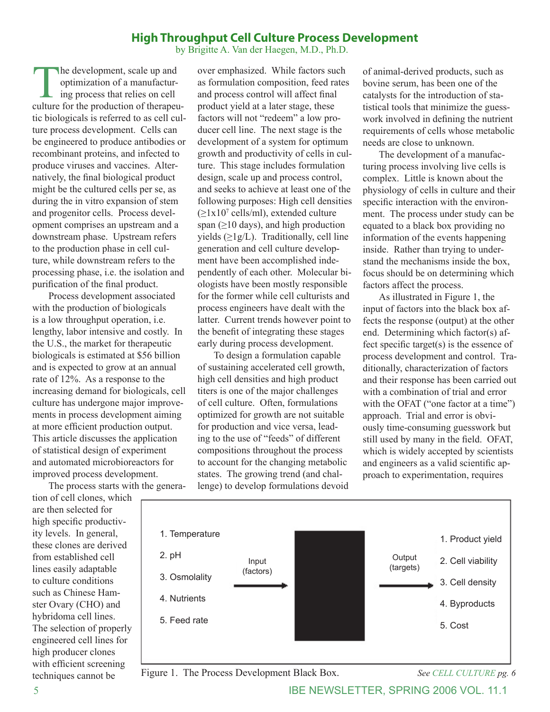### **High Throughput Cell Culture Process Development**

by Brigitte A. Van der Haegen, M.D., Ph.D.

The development, scale up and<br>optimization of a manufacturing process that relies on cell<br>culture for the production of therapeu optimization of a manufacturing process that relies on cell culture for the production of therapeutic biologicals is referred to as cell culture process development. Cells can be engineered to produce antibodies or recombinant proteins, and infected to produce viruses and vaccines. Alternatively, the final biological product might be the cultured cells per se, as during the in vitro expansion of stem and progenitor cells. Process development comprises an upstream and a downstream phase. Upstream refers to the production phase in cell culture, while downstream refers to the processing phase, i.e. the isolation and purification of the final product.

Process development associated with the production of biologicals is a low throughput operation, i.e. lengthy, labor intensive and costly. In the U.S., the market for therapeutic biologicals is estimated at \$56 billion and is expected to grow at an annual rate of 12%. As a response to the increasing demand for biologicals, cell culture has undergone major improvements in process development aiming at more efficient production output. This article discusses the application of statistical design of experiment and automated microbioreactors for improved process development.

The process starts with the genera-

tion of cell clones, which are then selected for high specific productivity levels. In general, these clones are derived from established cell lines easily adaptable to culture conditions such as Chinese Hamster Ovary (CHO) and hybridoma cell lines. The selection of properly engineered cell lines for high producer clones with efficient screening techniques cannot be

over emphasized. While factors such as formulation composition, feed rates and process control will affect final product yield at a later stage, these factors will not "redeem" a low producer cell line. The next stage is the development of a system for optimum growth and productivity of cells in culture. This stage includes formulation design, scale up and process control, and seeks to achieve at least one of the following purposes: High cell densities  $(\geq 1x10^7 \text{ cells/ml})$ , extended culture span ( $\geq$ 10 days), and high production yields  $(\geq 1g/L)$ . Traditionally, cell line generation and cell culture development have been accomplished independently of each other. Molecular biologists have been mostly responsible for the former while cell culturists and process engineers have dealt with the latter. Current trends however point to the benefit of integrating these stages early during process development.

To design a formulation capable of sustaining accelerated cell growth, high cell densities and high product titers is one of the major challenges of cell culture. Often, formulations optimized for growth are not suitable for production and vice versa, leading to the use of "feeds" of different compositions throughout the process to account for the changing metabolic states. The growing trend (and challenge) to develop formulations devoid of animal-derived products, such as bovine serum, has been one of the catalysts for the introduction of statistical tools that minimize the guesswork involved in defining the nutrient requirements of cells whose metabolic needs are close to unknown.

The development of a manufacturing process involving live cells is complex. Little is known about the physiology of cells in culture and their specific interaction with the environment. The process under study can be equated to a black box providing no information of the events happening inside. Rather than trying to understand the mechanisms inside the box, focus should be on determining which factors affect the process.

As illustrated in Figure 1, the input of factors into the black box affects the response (output) at the other end. Determining which factor(s) affect specific target(s) is the essence of process development and control. Traditionally, characterization of factors and their response has been carried out with a combination of trial and error with the OFAT ("one factor at a time") approach. Trial and error is obviously time-consuming guesswork but still used by many in the field. OFAT, which is widely accepted by scientists and engineers as a valid scientific approach to experimentation, requires



Figure 1. The Process Development Black Box. *See CELL CULTURE pg. 6*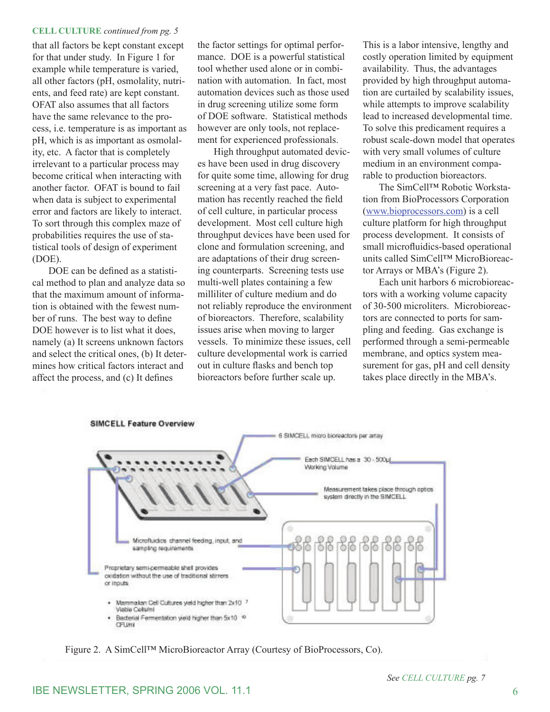#### **CELL CULTURE** *continued from pg. 5*

that all factors be kept constant except for that under study. In Figure 1 for example while temperature is varied, all other factors (pH, osmolality, nutrients, and feed rate) are kept constant. OFAT also assumes that all factors have the same relevance to the process, i.e. temperature is as important as pH, which is as important as osmolality, etc. A factor that is completely irrelevant to a particular process may become critical when interacting with another factor. OFAT is bound to fail when data is subject to experimental error and factors are likely to interact. To sort through this complex maze of probabilities requires the use of statistical tools of design of experiment (DOE).

DOE can be defined as a statistical method to plan and analyze data so that the maximum amount of information is obtained with the fewest number of runs. The best way to define DOE however is to list what it does, namely (a) It screens unknown factors and select the critical ones, (b) It determines how critical factors interact and affect the process, and (c) It defines

the factor settings for optimal performance. DOE is a powerful statistical tool whether used alone or in combination with automation. In fact, most automation devices such as those used in drug screening utilize some form of DOE software. Statistical methods however are only tools, not replacement for experienced professionals.

High throughput automated devices have been used in drug discovery for quite some time, allowing for drug screening at a very fast pace. Automation has recently reached the field of cell culture, in particular process development. Most cell culture high throughput devices have been used for clone and formulation screening, and are adaptations of their drug screening counterparts. Screening tests use multi-well plates containing a few milliliter of culture medium and do not reliably reproduce the environment of bioreactors. Therefore, scalability issues arise when moving to larger vessels. To minimize these issues, cell culture developmental work is carried out in culture flasks and bench top bioreactors before further scale up.

This is a labor intensive, lengthy and costly operation limited by equipment availability. Thus, the advantages provided by high throughput automation are curtailed by scalability issues, while attempts to improve scalability lead to increased developmental time. To solve this predicament requires a robust scale-down model that operates with very small volumes of culture medium in an environment comparable to production bioreactors.

The SimCell™ Robotic Workstation from BioProcessors Corporation (www.bioprocessors.com) is a cell culture platform for high throughput process development. It consists of small microfluidics-based operational units called SimCell™ MicroBioreactor Arrays or MBA's (Figure 2).

Each unit harbors 6 microbioreactors with a working volume capacity of 30-500 microliters. Microbioreactors are connected to ports for sampling and feeding. Gas exchange is performed through a semi-permeable membrane, and optics system measurement for gas, pH and cell density takes place directly in the MBA's.



Figure 2. A SimCell™ MicroBioreactor Array (Courtesy of BioProcessors, Co).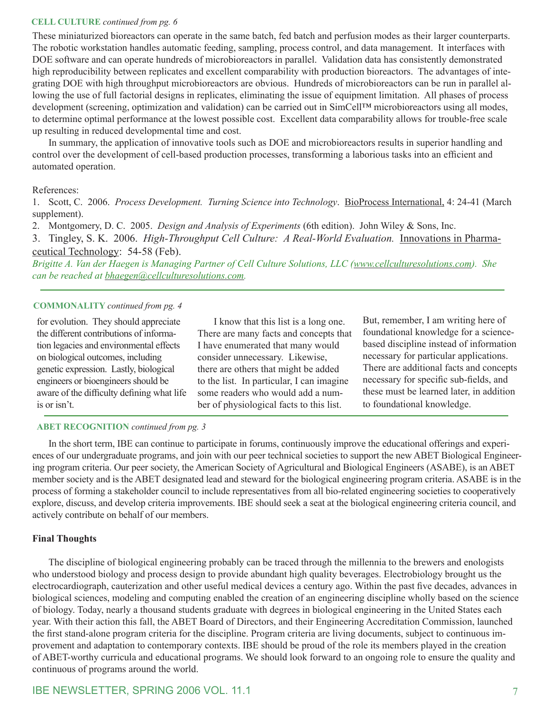#### **CELL CULTURE** *continued from pg. 6*

These miniaturized bioreactors can operate in the same batch, fed batch and perfusion modes as their larger counterparts. The robotic workstation handles automatic feeding, sampling, process control, and data management. It interfaces with DOE software and can operate hundreds of microbioreactors in parallel. Validation data has consistently demonstrated high reproducibility between replicates and excellent comparability with production bioreactors. The advantages of integrating DOE with high throughput microbioreactors are obvious. Hundreds of microbioreactors can be run in parallel allowing the use of full factorial designs in replicates, eliminating the issue of equipment limitation. All phases of process development (screening, optimization and validation) can be carried out in SimCell™ microbioreactors using all modes, to determine optimal performance at the lowest possible cost. Excellent data comparability allows for trouble-free scale up resulting in reduced developmental time and cost.

In summary, the application of innovative tools such as DOE and microbioreactors results in superior handling and control over the development of cell-based production processes, transforming a laborious tasks into an efficient and automated operation.

#### References:

1. Scott, C. 2006. *Process Development. Turning Science into Technology*. BioProcess International, 4: 24-41 (March supplement).

2. Montgomery, D. C. 2005. *Design and Analysis of Experiments* (6th edition). John Wiley & Sons, Inc.

3. Tingley, S. K. 2006. *High-Throughput Cell Culture: A Real-World Evaluation.* Innovations in Pharmaceutical Technology: 54-58 (Feb).

*Brigitte A. Van der Haegen is Managing Partner of Cell Culture Solutions, LLC (www.cellculturesolutions.com). She can be reached at bhaegen@cellculturesolutions.com.*

#### **COMMONALITY** *continued from pg. 4*

for evolution. They should appreciate the different contributions of information legacies and environmental effects on biological outcomes, including genetic expression. Lastly, biological engineers or bioengineers should be aware of the difficulty defining what life is or isn't.

I know that this list is a long one. There are many facts and concepts that I have enumerated that many would consider unnecessary. Likewise, there are others that might be added to the list. In particular, I can imagine some readers who would add a number of physiological facts to this list.

But, remember, I am writing here of foundational knowledge for a sciencebased discipline instead of information necessary for particular applications. There are additional facts and concepts necessary for specific sub-fields, and these must be learned later, in addition to foundational knowledge.

#### **ABET RECOGNITION** *continued from pg. 3*

In the short term, IBE can continue to participate in forums, continuously improve the educational offerings and experiences of our undergraduate programs, and join with our peer technical societies to support the new ABET Biological Engineering program criteria. Our peer society, the American Society of Agricultural and Biological Engineers (ASABE), is an ABET member society and is the ABET designated lead and steward for the biological engineering program criteria. ASABE is in the process of forming a stakeholder council to include representatives from all bio-related engineering societies to cooperatively explore, discuss, and develop criteria improvements. IBE should seek a seat at the biological engineering criteria council, and actively contribute on behalf of our members.

#### **Final Thoughts**

The discipline of biological engineering probably can be traced through the millennia to the brewers and enologists who understood biology and process design to provide abundant high quality beverages. Electrobiology brought us the electrocardiograph, cauterization and other useful medical devices a century ago. Within the past five decades, advances in biological sciences, modeling and computing enabled the creation of an engineering discipline wholly based on the science of biology. Today, nearly a thousand students graduate with degrees in biological engineering in the United States each year. With their action this fall, the ABET Board of Directors, and their Engineering Accreditation Commission, launched the first stand-alone program criteria for the discipline. Program criteria are living documents, subject to continuous improvement and adaptation to contemporary contexts. IBE should be proud of the role its members played in the creation of ABET-worthy curricula and educational programs. We should look forward to an ongoing role to ensure the quality and continuous of programs around the world.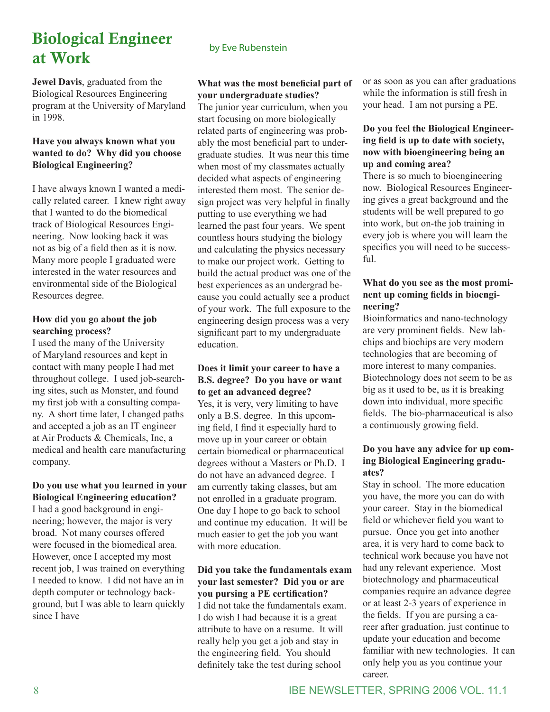# Biological Engineer at Work

**Jewel Davis**, graduated from the Biological Resources Engineering program at the University of Maryland in 1998.

#### **Have you always known what you wanted to do? Why did you choose Biological Engineering?**

I have always known I wanted a medically related career. I knew right away that I wanted to do the biomedical track of Biological Resources Engineering. Now looking back it was not as big of a field then as it is now. Many more people I graduated were interested in the water resources and environmental side of the Biological Resources degree.

#### **How did you go about the job searching process?**

I used the many of the University of Maryland resources and kept in contact with many people I had met throughout college. I used job-searching sites, such as Monster, and found my first job with a consulting company. A short time later, I changed paths and accepted a job as an IT engineer at Air Products & Chemicals, Inc, a medical and health care manufacturing company.

#### **Do you use what you learned in your Biological Engineering education?**

I had a good background in engineering; however, the major is very broad. Not many courses offered were focused in the biomedical area. However, once I accepted my most recent job, I was trained on everything I needed to know. I did not have an in depth computer or technology background, but I was able to learn quickly since I have

### by Eve Rubenstein

#### **What was the most beneficial part of your undergraduate studies?**

The junior year curriculum, when you start focusing on more biologically related parts of engineering was probably the most beneficial part to undergraduate studies. It was near this time when most of my classmates actually decided what aspects of engineering interested them most. The senior design project was very helpful in finally putting to use everything we had learned the past four years. We spent countless hours studying the biology and calculating the physics necessary to make our project work. Getting to build the actual product was one of the best experiences as an undergrad because you could actually see a product of your work. The full exposure to the engineering design process was a very significant part to my undergraduate education.

#### **Does it limit your career to have a B.S. degree? Do you have or want to get an advanced degree?**

Yes, it is very, very limiting to have only a B.S. degree. In this upcoming field, I find it especially hard to move up in your career or obtain certain biomedical or pharmaceutical degrees without a Masters or Ph.D. I do not have an advanced degree. I am currently taking classes, but am not enrolled in a graduate program. One day I hope to go back to school and continue my education. It will be much easier to get the job you want with more education.

#### **Did you take the fundamentals exam your last semester? Did you or are you pursing a PE certification?**

I did not take the fundamentals exam. I do wish I had because it is a great attribute to have on a resume. It will really help you get a job and stay in the engineering field. You should definitely take the test during school

or as soon as you can after graduations while the information is still fresh in your head. I am not pursing a PE.

#### **Do you feel the Biological Engineering field is up to date with society, now with bioengineering being an up and coming area?**

There is so much to bioengineering now. Biological Resources Engineering gives a great background and the students will be well prepared to go into work, but on-the job training in every job is where you will learn the specifics you will need to be successful.

#### **What do you see as the most prominent up coming fields in bioengineering?**

Bioinformatics and nano-technology are very prominent fields. New labchips and biochips are very modern technologies that are becoming of more interest to many companies. Biotechnology does not seem to be as big as it used to be, as it is breaking down into individual, more specific fields. The bio-pharmaceutical is also a continuously growing field.

#### **Do you have any advice for up coming Biological Engineering graduates?**

Stay in school. The more education you have, the more you can do with your career. Stay in the biomedical field or whichever field you want to pursue. Once you get into another area, it is very hard to come back to technical work because you have not had any relevant experience. Most biotechnology and pharmaceutical companies require an advance degree or at least 2-3 years of experience in the fields. If you are pursing a career after graduation, just continue to update your education and become familiar with new technologies. It can only help you as you continue your career.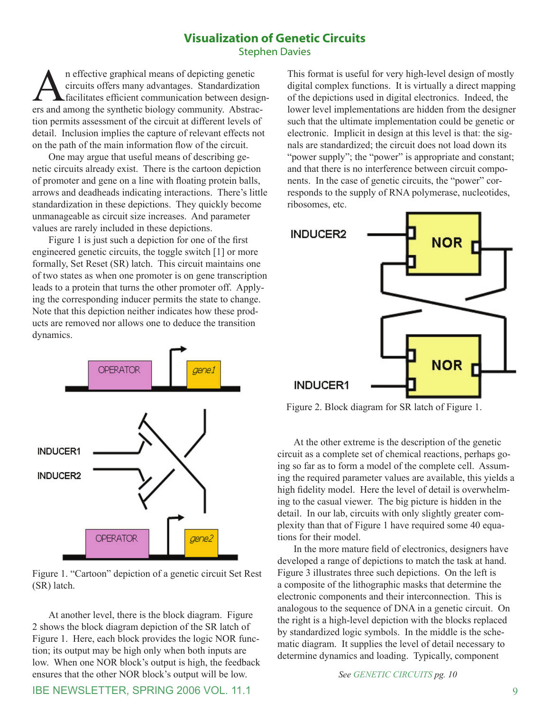#### **Visualization of Genetic Circuits** Stephen Davies

An effective graphical means of depicting genetic circuits offers many advantages. Standardization  $\blacktriangle$  facilitates efficient communication between designers and among the synthetic biology community. Abstraction permits assessment of the circuit at different levels of detail. Inclusion implies the capture of relevant effects not on the path of the main information flow of the circuit.

One may argue that useful means of describing genetic circuits already exist. There is the cartoon depiction of promoter and gene on a line with floating protein balls, arrows and deadheads indicating interactions. There's little standardization in these depictions. They quickly become unmanageable as circuit size increases. And parameter values are rarely included in these depictions.

Figure 1 is just such a depiction for one of the first engineered genetic circuits, the toggle switch [1] or more formally, Set Reset (SR) latch. This circuit maintains one of two states as when one promoter is on gene transcription leads to a protein that turns the other promoter off. Applying the corresponding inducer permits the state to change. Note that this depiction neither indicates how these products are removed nor allows one to deduce the transition dynamics.



Figure 1. "Cartoon" depiction of a genetic circuit Set Rest (SR) latch.

At another level, there is the block diagram. Figure 2 shows the block diagram depiction of the SR latch of Figure 1. Here, each block provides the logic NOR function; its output may be high only when both inputs are low. When one NOR block's output is high, the feedback ensures that the other NOR block's output will be low.

This format is useful for very high-level design of mostly digital complex functions. It is virtually a direct mapping of the depictions used in digital electronics. Indeed, the lower level implementations are hidden from the designer such that the ultimate implementation could be genetic or electronic. Implicit in design at this level is that: the signals are standardized; the circuit does not load down its "power supply"; the "power" is appropriate and constant; and that there is no interference between circuit components. In the case of genetic circuits, the "power" corresponds to the supply of RNA polymerase, nucleotides, ribosomes, etc.



Figure 2. Block diagram for SR latch of Figure 1.

At the other extreme is the description of the genetic circuit as a complete set of chemical reactions, perhaps going so far as to form a model of the complete cell. Assuming the required parameter values are available, this yields a high fidelity model. Here the level of detail is overwhelming to the casual viewer. The big picture is hidden in the detail. In our lab, circuits with only slightly greater complexity than that of Figure 1 have required some 40 equations for their model.

In the more mature field of electronics, designers have developed a range of depictions to match the task at hand. Figure 3 illustrates three such depictions. On the left is a composite of the lithographic masks that determine the electronic components and their interconnection. This is analogous to the sequence of DNA in a genetic circuit. On the right is a high-level depiction with the blocks replaced by standardized logic symbols. In the middle is the schematic diagram. It supplies the level of detail necessary to determine dynamics and loading. Typically, component

*See GENETIC CIRCUITS pg. 10*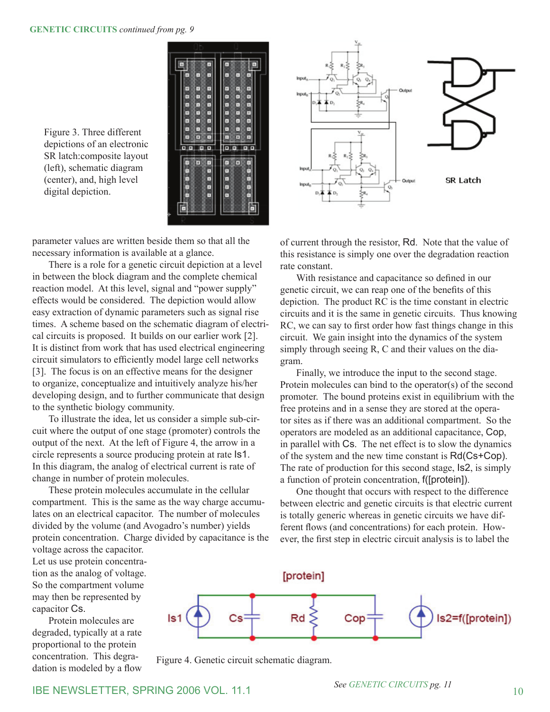Figure 3. Three different depictions of an electronic SR latch:composite layout (left), schematic diagram (center), and, high level digital depiction.



parameter values are written beside them so that all the necessary information is available at a glance.

There is a role for a genetic circuit depiction at a level in between the block diagram and the complete chemical reaction model. At this level, signal and "power supply" effects would be considered. The depiction would allow easy extraction of dynamic parameters such as signal rise times. A scheme based on the schematic diagram of electrical circuits is proposed. It builds on our earlier work [2]. It is distinct from work that has used electrical engineering circuit simulators to efficiently model large cell networks [3]. The focus is on an effective means for the designer to organize, conceptualize and intuitively analyze his/her developing design, and to further communicate that design to the synthetic biology community.

To illustrate the idea, let us consider a simple sub-circuit where the output of one stage (promoter) controls the output of the next. At the left of Figure 4, the arrow in a circle represents a source producing protein at rate Is1. In this diagram, the analog of electrical current is rate of change in number of protein molecules.

These protein molecules accumulate in the cellular compartment. This is the same as the way charge accumulates on an electrical capacitor. The number of molecules divided by the volume (and Avogadro's number) yields protein concentration. Charge divided by capacitance is the

voltage across the capacitor. Let us use protein concentration as the analog of voltage. So the compartment volume may then be represented by capacitor Cs.

Protein molecules are degraded, typically at a rate proportional to the protein concentration. This degradation is modeled by a flow



of current through the resistor, Rd. Note that the value of this resistance is simply one over the degradation reaction rate constant.

With resistance and capacitance so defined in our genetic circuit, we can reap one of the benefits of this depiction. The product RC is the time constant in electric circuits and it is the same in genetic circuits. Thus knowing RC, we can say to first order how fast things change in this circuit. We gain insight into the dynamics of the system simply through seeing R, C and their values on the diagram.

Finally, we introduce the input to the second stage. Protein molecules can bind to the operator(s) of the second promoter. The bound proteins exist in equilibrium with the free proteins and in a sense they are stored at the operator sites as if there was an additional compartment. So the operators are modeled as an additional capacitance, Cop, in parallel with Cs. The net effect is to slow the dynamics of the system and the new time constant is Rd(Cs+Cop). The rate of production for this second stage, Is2, is simply a function of protein concentration, f([protein]).

One thought that occurs with respect to the difference between electric and genetic circuits is that electric current is totally generic whereas in genetic circuits we have different flows (and concentrations) for each protein. However, the first step in electric circuit analysis is to label the



Figure 4. Genetic circuit schematic diagram.